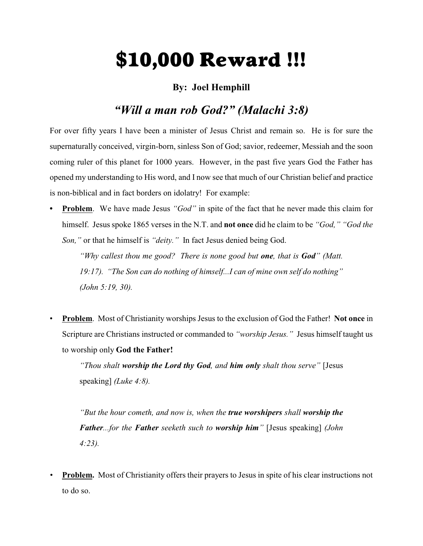# \$10,000 Reward !!!

### **By: Joel Hemphill**

## *"Will a man rob God?" (Malachi 3:8)*

For over fifty years I have been a minister of Jesus Christ and remain so. He is for sure the supernaturally conceived, virgin-born, sinless Son of God; savior, redeemer, Messiah and the soon coming ruler of this planet for 1000 years. However, in the past five years God the Father has opened my understanding to His word, and I now see that much of our Christian belief and practice is non-biblical and in fact borders on idolatry! For example:

**• Problem**. We have made Jesus *"God"* in spite of the fact that he never made this claim for himself. Jesus spoke 1865 verses in the N.T. and **not once** did he claim to be *"God," "God the Son,"* or that he himself is *"deity."* In fact Jesus denied being God.

*"Why callest thou me good? There is none good but one, that is God" (Matt. 19:17). "The Son can do nothing of himself...I can of mine own self do nothing" (John 5:19, 30).*

• **Problem**. Most of Christianity worships Jesus to the exclusion of God the Father! **Not once** in Scripture are Christians instructed or commanded to *"worship Jesus."* Jesus himself taught us to worship only **God the Father!**

*"Thou shalt worship the Lord thy God, and him only shalt thou serve"* [Jesus speaking] *(Luke 4:8).*

*"But the hour cometh, and now is, when the true worshipers shall worship the Father...for the Father seeketh such to worship him"* [Jesus speaking] *(John 4:23).*

*•* **Problem.** Most of Christianity offers their prayers to Jesus in spite of his clear instructions not to do so.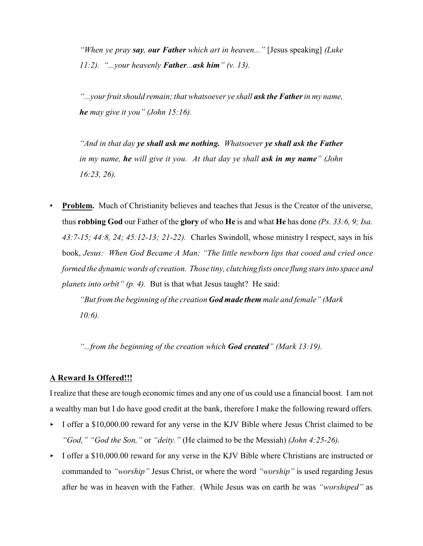*"When ye pray say, our Father which art in heaven..."* [Jesus speaking] *(Luke 11:2). "...your heavenly Father...ask him" (v. 13).*

*"...your fruit should remain; that whatsoever ye shall ask the Fatherin my name, he may give it you" (John 15:16).*

*"And in that day ye shall ask me nothing. Whatsoever ye shall ask the Father in my name, he will give it you. At that day ye shall ask in my name" (John 16:23, 26).*

**Problem.** Much of Christianity believes and teaches that Jesus is the Creator of the universe, thus **robbing God** our Father of the **glory** of who **He** is and what **He** has done *(Ps. 33:6, 9; Isa. 43:7-15; 44:8, 24; 45:12-13; 21-22).* Charles Swindoll, whose ministry I respect, says in his book, *Jesus: When God Became A Man; "The little newborn lips that cooed and cried once formed the dynamic words of creation. Those tiny, clutching fists once flung stars into space and planets into orbit" (p. 4).* But is that what Jesus taught? He said:

*"But from the beginning of the creation God made them male and female" (Mark 10:6).*

*"...from the beginning of the creation which God created" (Mark 13:19).*

#### **A Reward Is Offered!!!**

I realize that these are tough economic times and any one of us could use a financial boost. I am not a wealthy man but I do have good credit at the bank, therefore I make the following reward offers.

- I offer a \$10,000.00 reward for any verse in the KJV Bible where Jesus Christ claimed to be *"God," "God the Son,"* or *"deity."* (He claimed to be the Messiah) *(John 4:25-26).*
- I offer a \$10,000.00 reward for any verse in the KJV Bible where Christians are instructed or commanded to *"worship"* Jesus Christ, or where the word *"worship"* is used regarding Jesus after he was in heaven with the Father. (While Jesus was on earth he was *"worshiped"* as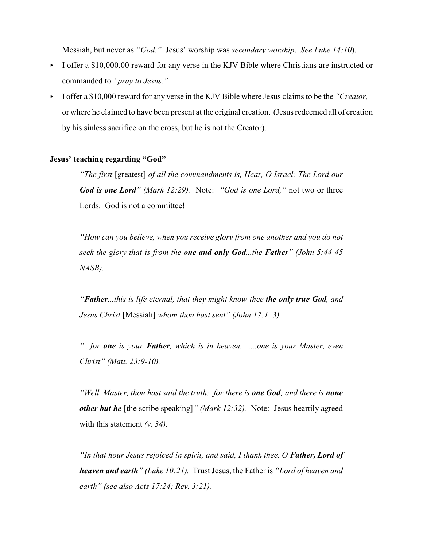Messiah, but never as *"God."* Jesus' worship was *secondary worship*. *See Luke 14:10*).

- I offer a \$10,000.00 reward for any verse in the KJV Bible where Christians are instructed or commanded to *"pray to Jesus."*
- < I offer a \$10,000 reward for any verse in the KJV Bible where Jesus claims to be the *"Creator,"* or where he claimed to have been present at the original creation. (Jesus redeemed all of creation by his sinless sacrifice on the cross, but he is not the Creator).

#### **Jesus' teaching regarding "God"**

*"The first* [greatest] *of all the commandments is, Hear, O Israel; The Lord our God is one Lord" (Mark 12:29).* Note: *"God is one Lord,"* not two or three Lords. God is not a committee!

*"How can you believe, when you receive glory from one another and you do not seek the glory that is from the one and only God...the Father" (John 5:44-45 NASB).*

*"Father...this is life eternal, that they might know thee the only true God, and Jesus Christ* [Messiah] *whom thou hast sent" (John 17:1, 3).*

*"...for one is your Father, which is in heaven. ....one is your Master, even Christ" (Matt. 23:9-10).*

*"Well, Master, thou hast said the truth: for there is one God; and there is none other but he* [the scribe speaking]*" (Mark 12:32).* Note: Jesus heartily agreed with this statement *(v. 34).*

*"In that hour Jesus rejoiced in spirit, and said, I thank thee, O Father, Lord of heaven and earth" (Luke 10:21).* Trust Jesus, the Father is *"Lord of heaven and earth" (see also Acts 17:24; Rev. 3:21).*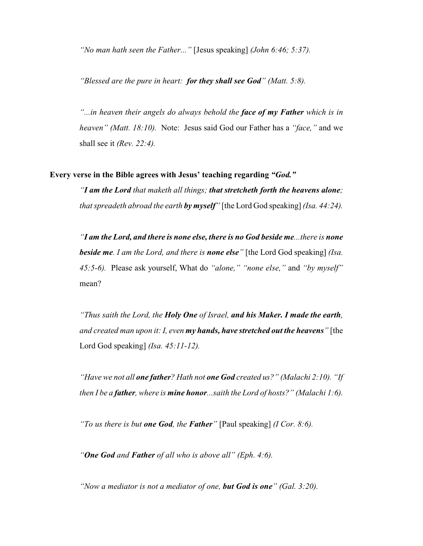*"No man hath seen the Father..."* [Jesus speaking] *(John 6:46; 5:37).*

*"Blessed are the pure in heart: for they shall see God" (Matt. 5:8).*

*"...in heaven their angels do always behold the face of my Father which is in heaven" (Matt. 18:10).* Note: Jesus said God our Father has a *"face,"* and we shall see it *(Rev. 22:4).*

#### **Every verse in the Bible agrees with Jesus' teaching regarding** *"God."*

*"I am the Lord that maketh all things; that stretcheth forth the heavens alone; that spreadeth abroad the earth by myself"* [the Lord God speaking] *(Isa. 44:24).*

*"I am the Lord, and there is none else, there is no God beside me...there is none beside me. I am the Lord, and there is none else"* [the Lord God speaking] *(Isa. 45:5-6).* Please ask yourself, What do *"alone," "none else,"* and *"by myself"* mean?

*"Thus saith the Lord, the Holy One of Israel, and his Maker. I made the earth, and created man upon it: I, even my hands, have stretched out the heavens"* [the Lord God speaking] *(Isa. 45:11-12).*

*"Have we not all one father? Hath not one God created us?" (Malachi 2:10). "If then I be a father, where is mine honor...saith the Lord of hosts?" (Malachi 1:6).*

*"To us there is but one God, the Father"* [Paul speaking] *(I Cor. 8:6).*

*"One God and Father of all who is above all" (Eph. 4:6).*

*"Now a mediator is not a mediator of one, but God is one" (Gal. 3:20).*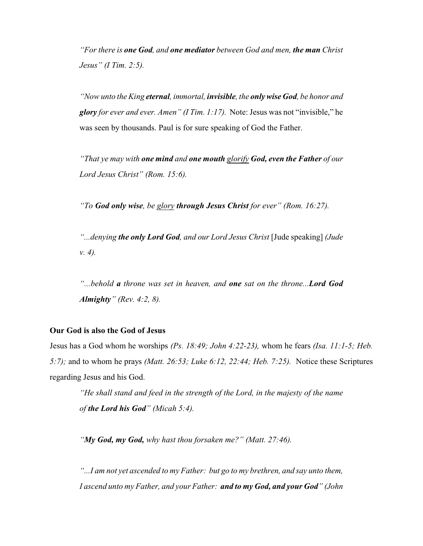*"For there is one God, and one mediator between God and men, the man Christ Jesus" (I Tim. 2:5).*

*"Now unto the King eternal, immortal, invisible, the only wise God, be honor and glory for ever and ever. Amen" (I Tim. 1:17).* Note: Jesus was not "invisible," he was seen by thousands. Paul is for sure speaking of God the Father.

*"That ye may with one mind and one mouth glorify God, even the Father of our Lord Jesus Christ" (Rom. 15:6).*

*"To God only wise, be glory through Jesus Christ for ever" (Rom. 16:27).*

*"...denying the only Lord God, and our Lord Jesus Christ* [Jude speaking] *(Jude v. 4).*

*"...behold a throne was set in heaven, and one sat on the throne...Lord God Almighty" (Rev. 4:2, 8).*

#### **Our God is also the God of Jesus**

Jesus has a God whom he worships *(Ps. 18:49; John 4:22-23),* whom he fears *(Isa. 11:1-5; Heb. 5:7);* and to whom he prays *(Matt. 26:53; Luke 6:12, 22:44; Heb. 7:25).* Notice these Scriptures regarding Jesus and his God.

*"He shall stand and feed in the strength of the Lord, in the majesty of the name of the Lord his God" (Micah 5:4).*

*"My God, my God, why hast thou forsaken me?" (Matt. 27:46).*

*"...I am not yet ascended to my Father: but go to my brethren, and say unto them, I ascend unto my Father, and your Father: and to my God, and your God" (John*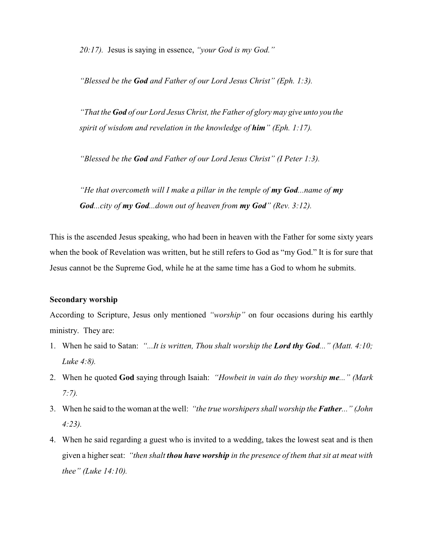*20:17).* Jesus is saying in essence, *"your God is my God."*

*"Blessed be the God and Father of our Lord Jesus Christ" (Eph. 1:3).*

*"That the God of our Lord Jesus Christ, the Father of glory may give unto you the spirit of wisdom and revelation in the knowledge of him" (Eph. 1:17).*

*"Blessed be the God and Father of our Lord Jesus Christ" (I Peter 1:3).*

*"He that overcometh will I make a pillar in the temple of my God...name of my God...city of my God...down out of heaven from my God" (Rev. 3:12).*

This is the ascended Jesus speaking, who had been in heaven with the Father for some sixty years when the book of Revelation was written, but he still refers to God as "my God." It is for sure that Jesus cannot be the Supreme God, while he at the same time has a God to whom he submits.

#### **Secondary worship**

According to Scripture, Jesus only mentioned *"worship"* on four occasions during his earthly ministry. They are:

- 1. When he said to Satan: *"...It is written, Thou shalt worship the Lord thy God..." (Matt. 4:10; Luke 4:8).*
- 2. When he quoted **God** saying through Isaiah: *"Howbeit in vain do they worship me..." (Mark 7:7).*
- 3. When he said to the woman at the well: *"the true worshipers shall worship the Father..." (John 4:23).*
- 4. When he said regarding a guest who is invited to a wedding, takes the lowest seat and is then given a higher seat: *"then shalt thou have worship in the presence of them that sit at meat with thee" (Luke 14:10).*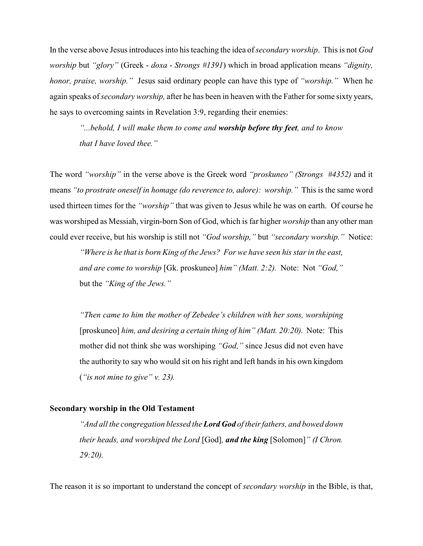In the verse above Jesus introduces into his teaching the idea of *secondary worship*. This is not *God worship* but *"glory"* (Greek - *doxa* - *Strongs #1391*) which in broad application means *"dignity, honor, praise, worship."* Jesus said ordinary people can have this type of *"worship."* When he again speaks of *secondary worship,* after he has been in heaven with the Father for some sixty years, he says to overcoming saints in Revelation 3:9, regarding their enemies:

*"...behold, I will make them to come and worship before thy feet, and to know that I have loved thee."*

The word *"worship"* in the verse above is the Greek word *"proskuneo" (Strongs #4352)* and it means *"to prostrate oneself in homage (do reverence to, adore): worship."* This is the same word used thirteen times for the *"worship"* that was given to Jesus while he was on earth. Of course he was worshiped as Messiah, virgin-born Son of God, which is far higher *worship* than any other man could ever receive, but his worship is still not *"God worship,"* but *"secondary worship."* Notice:

*"Where is he that is born King of the Jews? For we have seen his star in the east, and are come to worship* [Gk. proskuneo] *him" (Matt. 2:2).* Note: Not *"God,"* but the *"King of the Jews."*

*"Then came to him the mother of Zebedee's children with her sons, worshiping* [proskuneo] *him, and desiring a certain thing of him" (Matt. 20:20).* Note: This mother did not think she was worshiping *"God,"* since Jesus did not even have the authority to say who would sit on his right and left hands in his own kingdom (*"is not mine to give" v. 23).*

#### **Secondary worship in the Old Testament**

*"And all the congregation blessed the Lord God of their fathers, and bowed down their heads, and worshiped the Lord* [God]*, and the king* [Solomon]*" (I Chron. 29:20).*

The reason it is so important to understand the concept of *secondary worship* in the Bible, is that,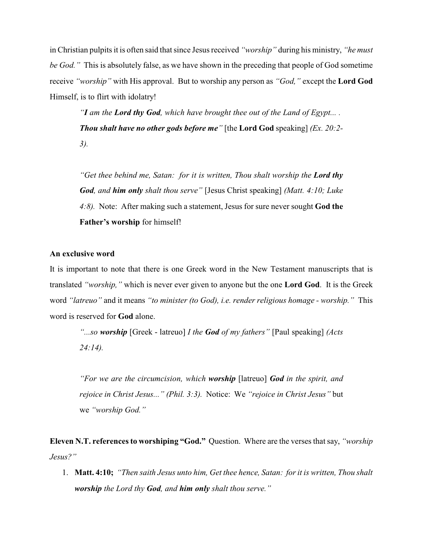in Christian pulpits it is often said that since Jesus received *"worship"* during his ministry, *"he must be God."* This is absolutely false, as we have shown in the preceding that people of God sometime receive *"worship"* with His approval. But to worship any person as *"God,"* except the **Lord God** Himself, is to flirt with idolatry!

*"I am the Lord thy God, which have brought thee out of the Land of Egypt... . Thou shalt have no other gods before me"* [the **Lord God** speaking] *(Ex. 20:2- 3).*

*"Get thee behind me, Satan: for it is written, Thou shalt worship the Lord thy God, and him only shalt thou serve"* [Jesus Christ speaking] *(Matt. 4:10; Luke 4:8).* Note: After making such a statement, Jesus for sure never sought **God the Father's worship** for himself!

#### **An exclusive word**

It is important to note that there is one Greek word in the New Testament manuscripts that is translated *"worship,"* which is never ever given to anyone but the one **Lord God**. It is the Greek word *"latreuo"* and it means *"to minister (to God), i.e. render religious homage - worship."* This word is reserved for **God** alone.

*"...so worship* [Greek - latreuo] *I the God of my fathers"* [Paul speaking] *(Acts 24:14).*

*"For we are the circumcision, which worship* [latreuo] *God in the spirit, and rejoice in Christ Jesus..." (Phil. 3:3).* Notice: We *"rejoice in Christ Jesus"* but we *"worship God."*

**Eleven N.T. references to worshiping "God."** Question. Where are the verses that say, *"worship Jesus?"*

1. **Matt. 4:10;** *"Then saith Jesus unto him, Get thee hence, Satan: for it is written, Thou shalt worship the Lord thy God, and him only shalt thou serve."*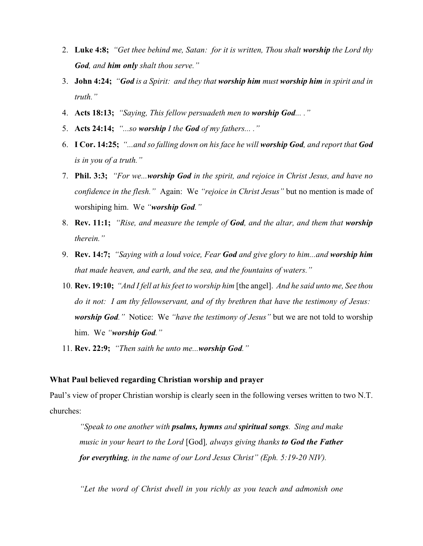- 2. **Luke 4:8;** *"Get thee behind me, Satan: for it is written, Thou shalt worship the Lord thy God, and him only shalt thou serve."*
- 3. **John 4:24;** *"God is a Spirit: and they that worship him must worship him in spirit and in truth."*
- 4. **Acts 18:13;** *"Saying, This fellow persuadeth men to worship God... ."*
- 5. **Acts 24:14;** *"...so worship I the God of my fathers... ."*
- 6. **I Cor. 14:25;** *"...and so falling down on his face he will worship God, and report that God is in you of a truth."*
- 7. **Phil. 3:3;** *"For we...worship God in the spirit, and rejoice in Christ Jesus, and have no confidence in the flesh."* Again: We *"rejoice in Christ Jesus"* but no mention is made of worshiping him. We *"worship God."*
- 8. **Rev. 11:1;** *"Rise, and measure the temple of God, and the altar, and them that worship therein."*
- 9. **Rev. 14:7;** *"Saying with a loud voice, Fear God and give glory to him...and worship him that made heaven, and earth, and the sea, and the fountains of waters."*
- 10. **Rev. 19:10;** *"And I fell at his feet to worship him* [the angel]. *And he said unto me, See thou do it not: I am thy fellowservant, and of thy brethren that have the testimony of Jesus: worship God."* Notice: We *"have the testimony of Jesus"* but we are not told to worship him. We *"worship God."*
- 11. **Rev. 22:9;** *"Then saith he unto me...worship God."*

#### **What Paul believed regarding Christian worship and prayer**

Paul's view of proper Christian worship is clearly seen in the following verses written to two N.T. churches:

*"Speak to one another with psalms, hymns and spiritual songs. Sing and make music in your heart to the Lord* [God]*, always giving thanks to God the Father for everything, in the name of our Lord Jesus Christ" (Eph. 5:19-20 NIV).*

*"Let the word of Christ dwell in you richly as you teach and admonish one*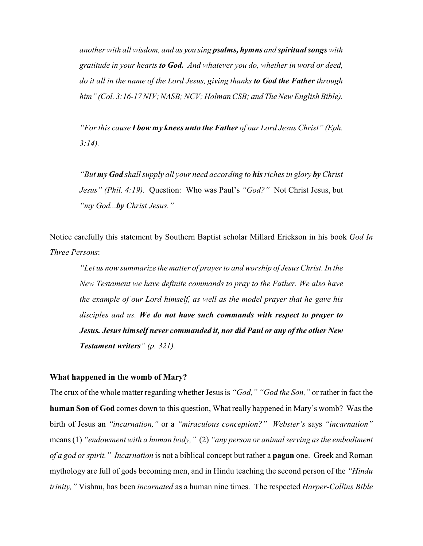*another with all wisdom, and as you sing psalms, hymns and spiritual songs with gratitude in your hearts to God. And whatever you do, whether in word or deed, do it all in the name of the Lord Jesus, giving thanks to God the Father through him" (Col. 3:16-17 NIV; NASB; NCV; Holman CSB; and The New English Bible).*

*"For this cause I bow my knees unto the Father of our Lord Jesus Christ" (Eph. 3:14).*

*"But my God shall supply all your need according to his riches in glory by Christ Jesus" (Phil. 4:19).* Question: Who was Paul's *"God?"* Not Christ Jesus, but *"my God...by Christ Jesus."*

Notice carefully this statement by Southern Baptist scholar Millard Erickson in his book *God In Three Persons*:

*"Let us now summarize the matter of prayer to and worship of Jesus Christ. In the New Testament we have definite commands to pray to the Father. We also have the example of our Lord himself, as well as the model prayer that he gave his disciples and us. We do not have such commands with respect to prayer to Jesus. Jesus himself never commanded it, nor did Paul or any of the other New Testament writers" (p. 321).*

#### **What happened in the womb of Mary?**

The crux of the whole matter regarding whether Jesus is *"God," "God the Son,"* or rather in fact the **human Son of God** comes down to this question, What really happened in Mary's womb? Was the birth of Jesus an *"incarnation,"* or a *"miraculous conception?" Webster's* says *"incarnation"* means (1) *"endowment with a human body,"* (2) *"any person or animal serving as the embodiment of a god or spirit." Incarnation* is not a biblical concept but rather a **pagan** one. Greek and Roman mythology are full of gods becoming men, and in Hindu teaching the second person of the *"Hindu trinity,"* Vishnu, has been *incarnated* as a human nine times. The respected *Harper-Collins Bible*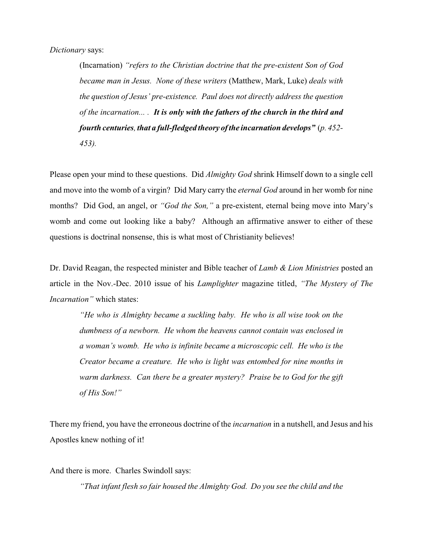(Incarnation) *"refers to the Christian doctrine that the pre-existent Son of God became man in Jesus. None of these writers* (Matthew, Mark, Luke) *deals with the question of Jesus' pre-existence. Paul does not directly address the question of the incarnation... . It is only with the fathers of the church in the third and fourth centuries, that a full-fledged theory ofthe incarnation develops"* (*p. 452- 453).*

Please open your mind to these questions. Did *Almighty God* shrink Himself down to a single cell and move into the womb of a virgin? Did Mary carry the *eternal God* around in her womb for nine months? Did God, an angel, or *"God the Son,"* a pre-existent, eternal being move into Mary's womb and come out looking like a baby? Although an affirmative answer to either of these questions is doctrinal nonsense, this is what most of Christianity believes!

Dr. David Reagan, the respected minister and Bible teacher of *Lamb & Lion Ministries* posted an article in the Nov.-Dec. 2010 issue of his *Lamplighter* magazine titled, *"The Mystery of The Incarnation"* which states:

*"He who is Almighty became a suckling baby. He who is all wise took on the dumbness of a newborn. He whom the heavens cannot contain was enclosed in a woman's womb. He who is infinite became a microscopic cell. He who is the Creator became a creature. He who is light was entombed for nine months in warm darkness. Can there be a greater mystery? Praise be to God for the gift of His Son!"*

There my friend, you have the erroneous doctrine of the *incarnation* in a nutshell, and Jesus and his Apostles knew nothing of it!

And there is more. Charles Swindoll says:

*"That infant flesh so fair housed the Almighty God. Do you see the child and the*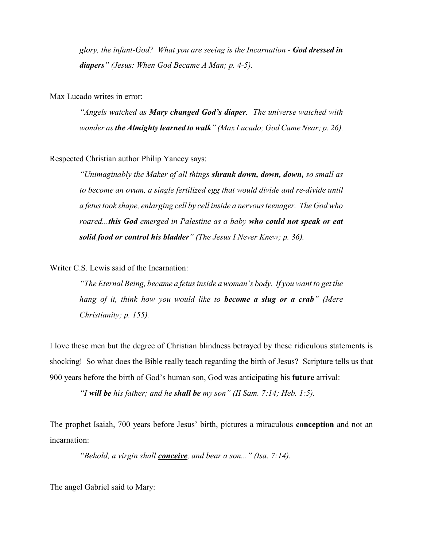*glory, the infant-God? What you are seeing is the Incarnation - God dressed in diapers" (Jesus: When God Became A Man; p. 4-5).*

Max Lucado writes in error:

*"Angels watched as Mary changed God's diaper. The universe watched with wonder as the Almighty learned to walk" (Max Lucado; God Came Near; p. 26)*.

Respected Christian author Philip Yancey says:

*"Unimaginably the Maker of all things shrank down, down, down, so small as to become an ovum, a single fertilized egg that would divide and re-divide until a fetus took shape, enlarging cell by cell inside a nervous teenager. The God who roared...this God emerged in Palestine as a baby who could not speak or eat solid food or control his bladder" (The Jesus I Never Knew; p. 36).*

Writer C.S. Lewis said of the Incarnation:

*"The Eternal Being, became a fetus inside a woman's body. If you want to get the hang of it, think how you would like to become a slug or a crab" (Mere Christianity; p. 155).*

I love these men but the degree of Christian blindness betrayed by these ridiculous statements is shocking! So what does the Bible really teach regarding the birth of Jesus? Scripture tells us that 900 years before the birth of God's human son, God was anticipating his **future** arrival:

*"I will be his father; and he shall be my son" (II Sam. 7:14; Heb. 1:5).*

The prophet Isaiah, 700 years before Jesus' birth, pictures a miraculous **conception** and not an incarnation:

*"Behold, a virgin shall conceive, and bear a son..." (Isa. 7:14).*

The angel Gabriel said to Mary: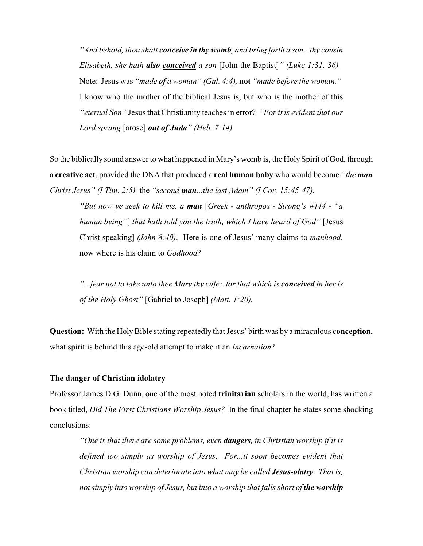*"And behold, thou shalt conceive in thy womb, and bring forth a son...thy cousin Elisabeth, she hath also conceived a son* [John the Baptist]*" (Luke 1:31, 36).* Note: Jesus was *"made of a woman" (Gal. 4:4),* **not** *"made before the woman."* I know who the mother of the biblical Jesus is, but who is the mother of this *"eternal Son"* Jesus that Christianity teaches in error? *"For it is evident that our Lord sprang* [arose] *out of Juda" (Heb. 7:14).*

So the biblically sound answer to what happened in Mary's womb is, the Holy Spirit of God, through a **creative act**, provided the DNA that produced a **real human baby** who would become *"the man Christ Jesus" (I Tim. 2:5),* the *"second man...the last Adam" (I Cor. 15:45-47).*

*"But now ye seek to kill me, a man* [*Greek - anthropos - Strong's #444 - "a human being"*] *that hath told you the truth, which I have heard of God"* [Jesus Christ speaking] *(John 8:40)*. Here is one of Jesus' many claims to *manhood*, now where is his claim to *Godhood*?

*"...fear not to take unto thee Mary thy wife: for that which is <i>conceived in her is of the Holy Ghost"* [Gabriel to Joseph] *(Matt. 1:20).*

**Question:** With the HolyBible stating repeatedly that Jesus' birth was by a miraculous **conception**, what spirit is behind this age-old attempt to make it an *Incarnation*?

#### **The danger of Christian idolatry**

Professor James D.G. Dunn, one of the most noted **trinitarian** scholars in the world, has written a book titled, *Did The First Christians Worship Jesus?* In the final chapter he states some shocking conclusions:

*"One is that there are some problems, even dangers, in Christian worship if it is defined too simply as worship of Jesus. For...it soon becomes evident that Christian worship can deteriorate into what may be called Jesus-olatry. That is, not simply into worship of Jesus, but into a worship that falls short of the worship*